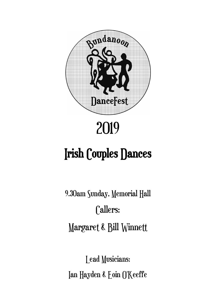

# 2019

# Irish Couples Dances

9.30am Sunday, Memorial Hall Callers: Margaret & Bill Winnett

Lead Musicians: Ian Hayden & Eoin O'Keeffe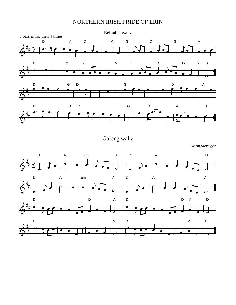## NORTHERN IRISH PRIDE OF ERIN



Galong waltz

*Norm Merrigan*

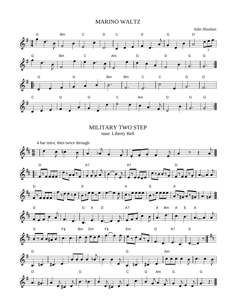#### MARINO WALTZ



MILITARY TWO STEP tune: Liberty Bell

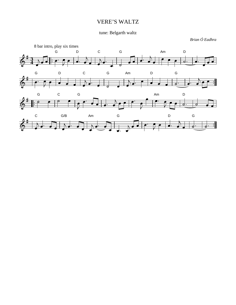### VERE'S WALTZ

### tune: Belgarth waltz

*Brian Ó Eadhra*

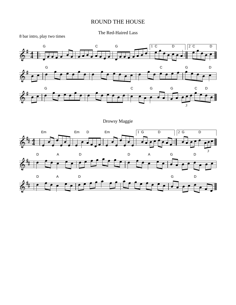#### ROUND THE HOUSE

The Red-Haired Lass



Drowsy Maggie





8 bar intro, play two times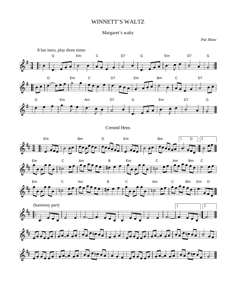#### WINNETT'S WALTZ

#### Margaret's waltz

*Pat Shaw*



#### Crested Hens











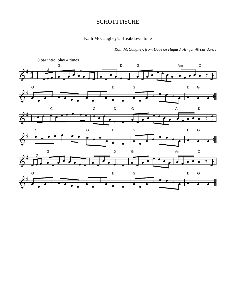#### **SCHOTTTISCHE**

#### Kath McCaughey's Breakdown tune



*Kath McCaughey, from Dave de Hugard. Arr for 40 bar dance*